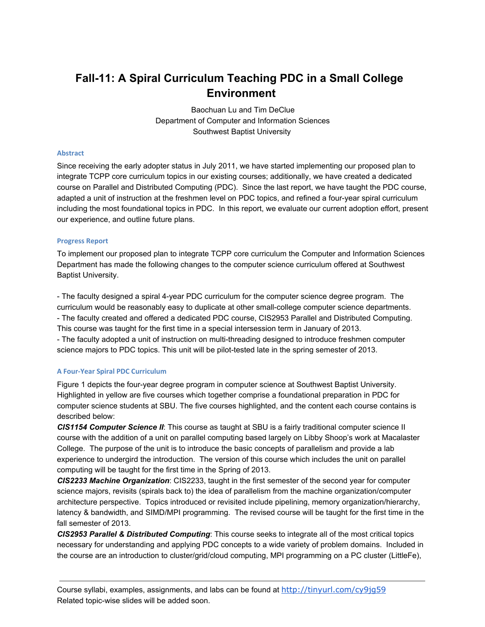# **Fall11: A Spiral Curriculum Teaching PDC in a Small College Environment**

Baochuan Lu and Tim DeClue Department of Computer and Information Sciences Southwest Baptist University

#### **Abstract**

Since receiving the early adopter status in July 2011, we have started implementing our proposed plan to integrate TCPP core curriculum topics in our existing courses; additionally, we have created a dedicated course on Parallel and Distributed Computing (PDC). Since the last report, we have taught the PDC course, adapted a unit of instruction at the freshmen level on PDC topics, and refined a four-year spiral curriculum including the most foundational topics in PDC. In this report, we evaluate our current adoption effort, present our experience, and outline future plans.

### **Progress Report**

To implement our proposed plan to integrate TCPP core curriculum the Computer and Information Sciences Department has made the following changes to the computer science curriculum offered at Southwest Baptist University.

- The faculty designed a spiral 4-year PDC curriculum for the computer science degree program. The curriculum would be reasonably easy to duplicate at other small-college computer science departments. The faculty created and offered a dedicated PDC course, CIS2953 Parallel and Distributed Computing. This course was taught for the first time in a special intersession term in January of 2013. - The faculty adopted a unit of instruction on multi-threading designed to introduce freshmen computer science majors to PDC topics. This unit will be pilot-tested late in the spring semester of 2013.

### **A Four-Year Spiral PDC Curriculum**

Figure 1 depicts the four-year degree program in computer science at Southwest Baptist University. Highlighted in yellow are five courses which together comprise a foundational preparation in PDC for computer science students at SBU. The five courses highlighted, and the content each course contains is described below:

*CIS1154 Computer Science II*: This course as taught at SBU is a fairly traditional computer science II course with the addition of a unit on parallel computing based largely on Libby Shoop's work at Macalaster College. The purpose of the unit is to introduce the basic concepts of parallelism and provide a lab experience to undergird the introduction. The version of this course which includes the unit on parallel computing will be taught for the first time in the Spring of 2013.

*CIS2233 Machine Organization*: CIS2233, taught in the first semester of the second year for computer science majors, revisits (spirals back to) the idea of parallelism from the machine organization/computer architecture perspective. Topics introduced or revisited include pipelining, memory organization/hierarchy, latency & bandwidth, and SIMD/MPI programming. The revised course will be taught for the first time in the fall semester of 2013.

*CIS2953 Parallel & Distributed Computing*: This course seeks to integrate all of the most critical topics necessary for understanding and applying PDC concepts to a wide variety of problem domains. Included in the course are an introduction to cluster/grid/cloud computing, MPI programming on a PC cluster (LittleFe),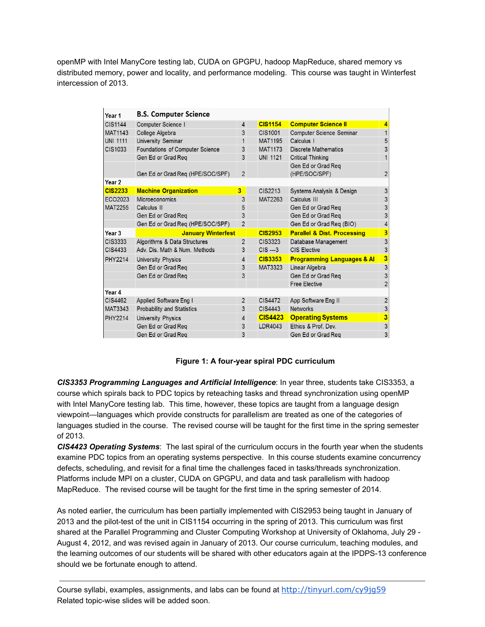openMP with Intel ManyCore testing lab, CUDA on GPGPU, hadoop MapReduce, shared memory vs distributed memory, power and locality, and performance modeling. This course was taught in Winterfest intercession of 2013.

| Year 1            | <b>B.S. Computer Science</b>      |                |                 |                                        |                |
|-------------------|-----------------------------------|----------------|-----------------|----------------------------------------|----------------|
| <b>CIS1144</b>    | Computer Science I                | $\overline{4}$ | <b>CIS1154</b>  | <b>Computer Science II</b>             | $\overline{4}$ |
| <b>MAT1143</b>    | College Algebra                   | 3              | CIS1001         | Computer Science Seminar               | $\mathbf{1}$   |
| <b>UNI 1111</b>   | University Seminar                | 1              | <b>MAT1195</b>  | Calculus I                             | 5              |
| CIS1033           | Foundations of Computer Science   | 3              | <b>MAT1173</b>  | Discrete Mathematics                   | 3              |
|                   | Gen Ed or Grad Req                | 3              | <b>UNI 1121</b> | <b>Critical Thinking</b>               |                |
|                   | Gen Ed or Grad Req (HPE/SOC/SPF)  | $\overline{2}$ |                 | Gen Ed or Grad Reg<br>(HPE/SOC/SPF)    | $\overline{2}$ |
| Year 2            |                                   |                |                 |                                        |                |
| <b>CIS2233</b>    | <b>Machine Organization</b>       | 3              | CIS2213         | Systems Analysis & Design              | 3              |
| ECO2023           | Microeconomics                    | 3              | MAT2263         | Calculus III                           | 3              |
| <b>MAT2255</b>    | Calculus II                       | 5              |                 | Gen Ed or Grad Reg                     | 3              |
|                   | Gen Ed or Grad Reg                | 3              |                 | Gen Ed or Grad Req                     | 3              |
|                   | Gen Ed or Grad Req (HPE/SOC/SPF)  | $\overline{2}$ |                 | Gen Ed or Grad Req (BIO)               | 4              |
| Year <sub>3</sub> | <b>January Winterfest</b>         |                | <b>CIS2953</b>  | <b>Parallel &amp; Dist. Processing</b> | 3              |
| CIS3333           | Algorithms & Data Structures      | $\overline{2}$ | CIS3323         | Database Management                    | 3              |
| CIS4433           | Adv. Dis. Math & Num. Methods     | 3              | $CIS$ ---3      | CIS Elective                           | 3              |
| <b>PHY2214</b>    | <b>University Physics</b>         | $\overline{4}$ | <b>CIS3353</b>  | <b>Programming Languages &amp; AI</b>  | 3              |
|                   | Gen Ed or Grad Req                | 3              | MAT3323         | Linear Algebra                         | 3              |
|                   | Gen Ed or Grad Req                | 3              |                 | Gen Ed or Grad Reg                     | 3              |
|                   |                                   |                |                 | <b>Free Elective</b>                   | $\overline{2}$ |
| Year 4            |                                   |                |                 |                                        |                |
| CIS4462           | Applied Software Eng I            | $\overline{2}$ | CIS4472         | App Software Eng II                    | $\overline{2}$ |
| <b>MAT3343</b>    | <b>Probability and Statistics</b> | 3              | CIS4443         | <b>Networks</b>                        | 3              |
| <b>PHY2214</b>    | University Physics                | $\overline{4}$ | <b>CIS4423</b>  | <b>Operating Systems</b>               | 3              |
|                   | Gen Ed or Grad Reg                | 3              | LDR4043         | Ethics & Prof. Dev.                    | 3              |
|                   | Gen Ed or Grad Reg                | 3              |                 | Gen Ed or Grad Reg                     | 3              |

## **Figure 1: A fouryear spiral PDC curriculum**

*CIS3353 Programming Languages and Artificial Intelligence*: In year three, students take CIS3353, a course which spirals back to PDC topics by reteaching tasks and thread synchronization using openMP with Intel ManyCore testing lab. This time, however, these topics are taught from a language design viewpoint—languages which provide constructs for parallelism are treated as one of the categories of languages studied in the course. The revised course will be taught for the first time in the spring semester of 2013.

*CIS4423 Operating Systems*: The last spiral of the curriculum occurs in the fourth year when the students examine PDC topics from an operating systems perspective. In this course students examine concurrency defects, scheduling, and revisit for a final time the challenges faced in tasks/threads synchronization. Platforms include MPI on a cluster, CUDA on GPGPU, and data and task parallelism with hadoop MapReduce. The revised course will be taught for the first time in the spring semester of 2014.

As noted earlier, the curriculum has been partially implemented with CIS2953 being taught in January of 2013 and the pilot-test of the unit in CIS1154 occurring in the spring of 2013. This curriculum was first shared at the Parallel Programming and Cluster Computing Workshop at University of Oklahoma, July 29 -August 4, 2012, and was revised again in January of 2013. Our course curriculum, teaching modules, and the learning outcomes of our students will be shared with other educators again at the IPDPS-13 conference should we be fortunate enough to attend.

Course syllabi, examples, assignments, and labs can be found at http://tinyurl.com/cy9jg59 Related topic-wise slides will be added soon.